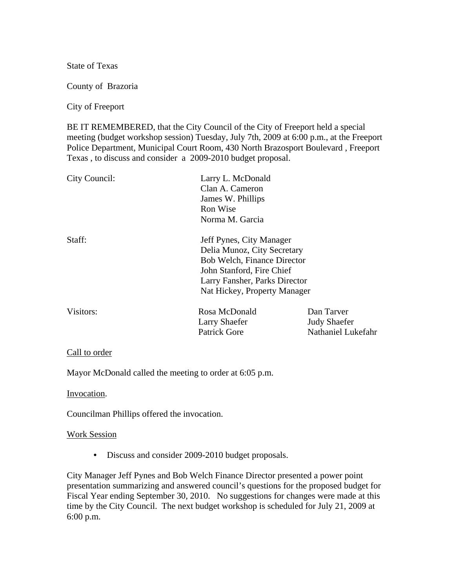State of Texas

County of Brazoria

City of Freeport

BE IT REMEMBERED, that the City Council of the City of Freeport held a special meeting (budget workshop session) Tuesday, July 7th, 2009 at 6:00 p.m., at the Freeport Police Department, Municipal Court Room, 430 North Brazosport Boulevard , Freeport Texas , to discuss and consider a 2009-2010 budget proposal.

| City Council:                      | Larry L. McDonald             |                          |
|------------------------------------|-------------------------------|--------------------------|
|                                    | Clan A. Cameron               |                          |
|                                    | James W. Phillips<br>Ron Wise |                          |
|                                    |                               |                          |
|                                    | Staff:                        | Jeff Pynes, City Manager |
| Delia Munoz, City Secretary        |                               |                          |
| <b>Bob Welch, Finance Director</b> |                               |                          |
| John Stanford, Fire Chief          |                               |                          |
| Larry Fansher, Parks Director      |                               |                          |
| Nat Hickey, Property Manager       |                               |                          |
| Visitors:                          | Rosa McDonald                 | Dan Tarver               |
|                                    | Larry Shaefer                 | <b>Judy Shaefer</b>      |
|                                    | <b>Patrick Gore</b>           | Nathaniel Lukefahr       |
|                                    |                               |                          |

## Call to order

Mayor McDonald called the meeting to order at 6:05 p.m.

Invocation.

Councilman Phillips offered the invocation.

## Work Session

• Discuss and consider 2009-2010 budget proposals.

City Manager Jeff Pynes and Bob Welch Finance Director presented a power point presentation summarizing and answered council's questions for the proposed budget for Fiscal Year ending September 30, 2010. No suggestions for changes were made at this time by the City Council. The next budget workshop is scheduled for July 21, 2009 at 6:00 p.m.